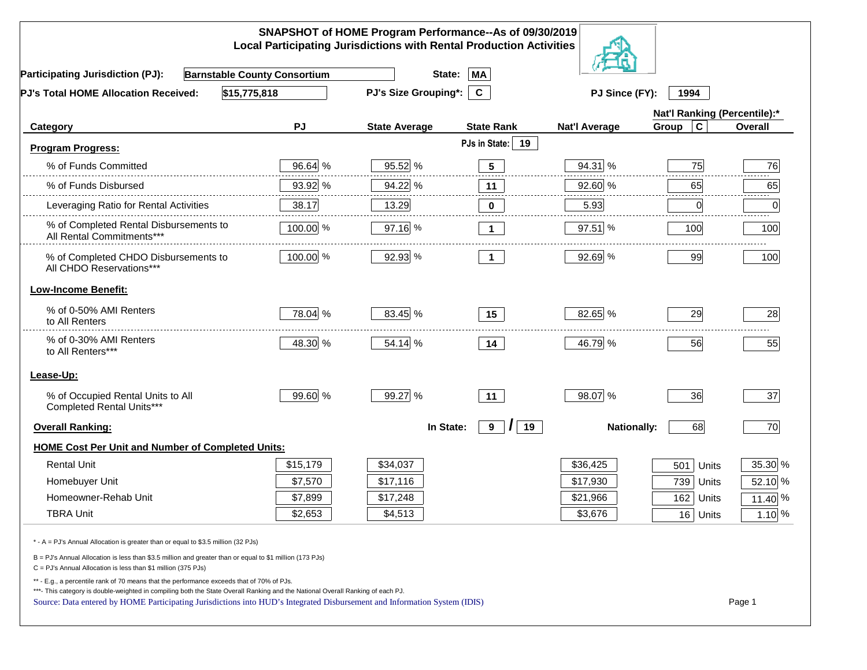| SNAPSHOT of HOME Program Performance--As of 09/30/2019<br><b>Local Participating Jurisdictions with Rental Production Activities</b>                                                                                                                        |                          |                             |                     |                      |                              |          |  |
|-------------------------------------------------------------------------------------------------------------------------------------------------------------------------------------------------------------------------------------------------------------|--------------------------|-----------------------------|---------------------|----------------------|------------------------------|----------|--|
| <b>Barnstable County Consortium</b><br><b>Participating Jurisdiction (PJ):</b>                                                                                                                                                                              |                          | State:                      | <b>MA</b>           |                      |                              |          |  |
| \$15,775,818<br><b>PJ's Total HOME Allocation Received:</b>                                                                                                                                                                                                 |                          | <b>PJ's Size Grouping*:</b> | $\mathbf{C}$        | PJ Since (FY):       | 1994                         |          |  |
|                                                                                                                                                                                                                                                             |                          |                             |                     |                      | Nat'l Ranking (Percentile):* |          |  |
| Category                                                                                                                                                                                                                                                    | PJ                       | <b>State Average</b>        | <b>State Rank</b>   | <b>Nat'l Average</b> | $\mathbf c$<br>Group         | Overall  |  |
| <b>Program Progress:</b>                                                                                                                                                                                                                                    |                          |                             | PJs in State:<br>19 |                      |                              |          |  |
| % of Funds Committed                                                                                                                                                                                                                                        | 96.64 %                  | 95.52 %                     | $5\phantom{.0}$     | 94.31 %              | 75                           | 76       |  |
| % of Funds Disbursed                                                                                                                                                                                                                                        | 93.92 %                  | 94.22 %                     | 11                  | 92.60 %              | 65                           | 65       |  |
| Leveraging Ratio for Rental Activities                                                                                                                                                                                                                      | 38.17                    | 13.29                       | $\bf{0}$            | 5.93                 | $\overline{0}$               | 0        |  |
| % of Completed Rental Disbursements to<br>All Rental Commitments***                                                                                                                                                                                         | 100.00 %                 | 97.16 %                     | $\mathbf{1}$        | 97.51 %              | 100                          | 100      |  |
| % of Completed CHDO Disbursements to<br>All CHDO Reservations***                                                                                                                                                                                            | 100.00 %                 | 92.93 %                     | $\overline{1}$      | 92.69 %              | 99                           | 100      |  |
| <b>Low-Income Benefit:</b>                                                                                                                                                                                                                                  |                          |                             |                     |                      |                              |          |  |
| % of 0-50% AMI Renters<br>to All Renters                                                                                                                                                                                                                    | 78.04 %                  | 83.45 %                     | 15                  | 82.65 %              | 29                           | 28       |  |
| % of 0-30% AMI Renters<br>to All Renters***                                                                                                                                                                                                                 | 48.30 %                  | 54.14 %                     | 14                  | 46.79 %              | 56                           | 55       |  |
| Lease-Up:                                                                                                                                                                                                                                                   |                          |                             |                     |                      |                              |          |  |
| % of Occupied Rental Units to All<br>Completed Rental Units***                                                                                                                                                                                              | 99.60 %                  | 99.27 %                     | 11                  | 98.07 %              | 36                           | 37       |  |
| <b>Overall Ranking:</b>                                                                                                                                                                                                                                     |                          | In State:                   | 19<br>9<br>$\prime$ | <b>Nationally:</b>   | 68                           | 70       |  |
| HOME Cost Per Unit and Number of Completed Units:                                                                                                                                                                                                           |                          |                             |                     |                      |                              |          |  |
| <b>Rental Unit</b>                                                                                                                                                                                                                                          | \$15,179                 | \$34,037                    |                     | \$36,425             | 501<br>Units                 | 35.30 %  |  |
| Homebuyer Unit                                                                                                                                                                                                                                              | \$7,570                  | \$17,116                    |                     | \$17,930             | 739 Units                    | 52.10 %  |  |
| Homeowner-Rehab Unit                                                                                                                                                                                                                                        | \$7,899                  | \$17,248                    |                     | \$21,966             | 162 Units                    | 11.40 %  |  |
| <b>TBRA Unit</b>                                                                                                                                                                                                                                            | $\sim$ $\sim$<br>\$2,053 | \$4,513                     |                     | \$3,676              | $\overline{16}$ Units        | $1.10\%$ |  |
| * - A = PJ's Annual Allocation is greater than or equal to \$3.5 million (32 PJs)                                                                                                                                                                           |                          |                             |                     |                      |                              |          |  |
| B = PJ's Annual Allocation is less than \$3.5 million and greater than or equal to \$1 million (173 PJs)<br>$C = PJ's$ Annual Allocation is less than \$1 million (375 PJs)                                                                                 |                          |                             |                     |                      |                              |          |  |
| ** - E.g., a percentile rank of 70 means that the performance exceeds that of 70% of PJs.                                                                                                                                                                   |                          |                             |                     |                      |                              |          |  |
| ***- This category is double-weighted in compiling both the State Overall Ranking and the National Overall Ranking of each PJ.<br>Source: Data entered by HOME Participating Jurisdictions into HUD's Integrated Disbursement and Information System (IDIS) |                          |                             |                     |                      |                              | Page 1   |  |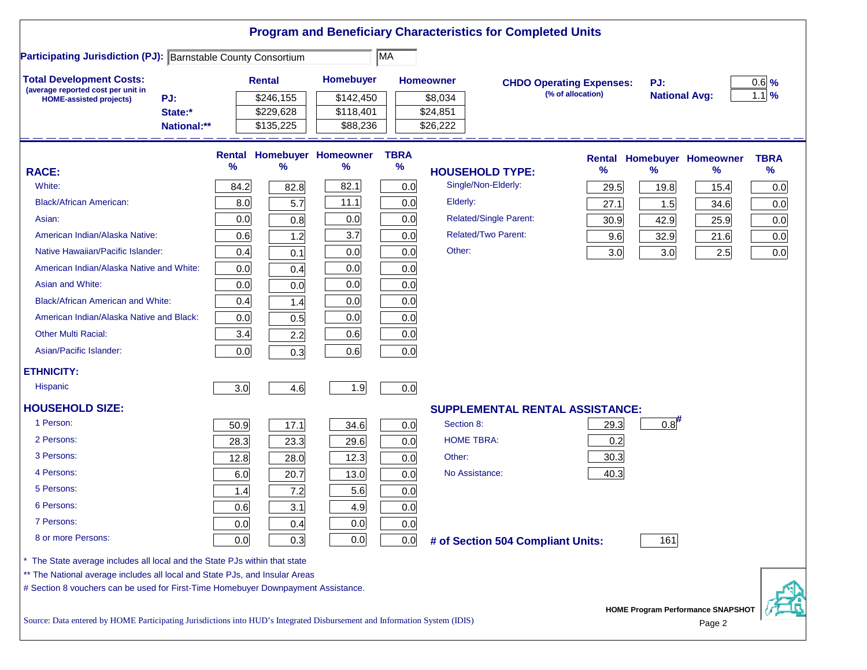|                                                                                                                           |               |                        |                                   |             |                      | <b>Program and Beneficiary Characteristics for Completed Units</b> |                   |                      |                                   |             |
|---------------------------------------------------------------------------------------------------------------------------|---------------|------------------------|-----------------------------------|-------------|----------------------|--------------------------------------------------------------------|-------------------|----------------------|-----------------------------------|-------------|
| <b>Participating Jurisdiction (PJ): Barnstable County Consortium</b>                                                      |               |                        |                                   | MA          |                      |                                                                    |                   |                      |                                   |             |
| <b>Total Development Costs:</b><br>(average reported cost per unit in                                                     |               | <b>Rental</b>          | <b>Homebuyer</b>                  |             | <b>Homeowner</b>     | <b>CHDO Operating Expenses:</b>                                    |                   | PJ:                  |                                   | $0.6$ %     |
| PJ:<br><b>HOME-assisted projects)</b>                                                                                     |               | \$246,155              | \$142,450                         |             | \$8,034              |                                                                    | (% of allocation) | <b>National Avg:</b> |                                   | $1.1$ %     |
| State:*<br>National:**                                                                                                    |               | \$229,628<br>\$135,225 | \$118,401<br>\$88,236             |             | \$24,851<br>\$26,222 |                                                                    |                   |                      |                                   |             |
|                                                                                                                           |               |                        |                                   |             |                      |                                                                    |                   |                      |                                   |             |
|                                                                                                                           |               |                        | <b>Rental Homebuyer Homeowner</b> | <b>TBRA</b> |                      |                                                                    | Rental            |                      | <b>Homebuyer Homeowner</b>        | <b>TBRA</b> |
| <b>RACE:</b>                                                                                                              | $\frac{9}{6}$ | $\%$                   | %                                 | $\%$        |                      | <b>HOUSEHOLD TYPE:</b>                                             | %                 | $\frac{9}{6}$        | ℅                                 | %           |
| White:                                                                                                                    | 84.2          | 82.8                   | 82.1                              | 0.0         |                      | Single/Non-Elderly:                                                | 29.5              | 19.8                 | 15.4                              | 0.0         |
| <b>Black/African American:</b>                                                                                            | 8.0           | 5.7                    | 11.1                              | 0.0         | Elderly:             |                                                                    | 27.1              | 1.5                  | 34.6                              | 0.0         |
| Asian:                                                                                                                    | 0.0           | 0.8                    | 0.0                               | 0.0         |                      | <b>Related/Single Parent:</b>                                      | 30.9              | 42.9                 | 25.9                              | 0.0         |
| American Indian/Alaska Native:                                                                                            | 0.6           | 1.2                    | 3.7                               | 0.0         |                      | <b>Related/Two Parent:</b>                                         | 9.6               | 32.9                 | 21.6                              | 0.0         |
| Native Hawaiian/Pacific Islander:                                                                                         | 0.4           | 0.1                    | 0.0                               | 0.0         | Other:               |                                                                    | 3.0               | 3.0                  | 2.5                               | 0.0         |
| American Indian/Alaska Native and White:                                                                                  | 0.0           | 0.4                    | 0.0                               | 0.0         |                      |                                                                    |                   |                      |                                   |             |
| Asian and White:                                                                                                          | 0.0           | 0.0                    | 0.0                               | 0.0         |                      |                                                                    |                   |                      |                                   |             |
| <b>Black/African American and White:</b>                                                                                  | 0.4           | 1.4                    | 0.0                               | 0.0         |                      |                                                                    |                   |                      |                                   |             |
| American Indian/Alaska Native and Black:                                                                                  | 0.0           | 0.5                    | 0.0                               | 0.0         |                      |                                                                    |                   |                      |                                   |             |
| <b>Other Multi Racial:</b>                                                                                                | 3.4           | 2.2                    | 0.6                               | 0.0         |                      |                                                                    |                   |                      |                                   |             |
| Asian/Pacific Islander:                                                                                                   | 0.0           | 0.3                    | 0.6                               | 0.0         |                      |                                                                    |                   |                      |                                   |             |
| <b>ETHNICITY:</b>                                                                                                         |               |                        |                                   |             |                      |                                                                    |                   |                      |                                   |             |
| <b>Hispanic</b>                                                                                                           | 3.0           | 4.6                    | 1.9                               | 0.0         |                      |                                                                    |                   |                      |                                   |             |
| <b>HOUSEHOLD SIZE:</b>                                                                                                    |               |                        |                                   |             |                      | SUPPLEMENTAL RENTAL ASSISTANCE:                                    |                   |                      |                                   |             |
| 1 Person:                                                                                                                 | 50.9          | 17.1                   | 34.6                              | 0.0         | Section 8:           |                                                                    | 29.3              | 0.8                  |                                   |             |
| 2 Persons:                                                                                                                | 28.3          | 23.3                   | 29.6                              | 0.0         |                      | <b>HOME TBRA:</b>                                                  | 0.2               |                      |                                   |             |
| 3 Persons:                                                                                                                | 12.8          | 28.0                   | 12.3                              | 0.0         | Other:               |                                                                    | 30.3              |                      |                                   |             |
| 4 Persons:                                                                                                                | 6.0           | 20.7                   | 13.0                              | 0.0         |                      | No Assistance:                                                     | 40.3              |                      |                                   |             |
| 5 Persons:                                                                                                                | 1.4           | 7.2                    | 5.6                               | 0.0         |                      |                                                                    |                   |                      |                                   |             |
| 6 Persons:                                                                                                                | 0.6           | 3.1                    | 4.9                               | 0.0         |                      |                                                                    |                   |                      |                                   |             |
| 7 Persons:                                                                                                                | 0.0           | 0.4                    | 0.0                               | 0.0         |                      |                                                                    |                   |                      |                                   |             |
| 8 or more Persons:                                                                                                        | 0.0           | 0.3                    | 0.0                               | 0.0         |                      | # of Section 504 Compliant Units:                                  |                   | 161                  |                                   |             |
| * The State average includes all local and the State PJs within that state                                                |               |                        |                                   |             |                      |                                                                    |                   |                      |                                   |             |
| ** The National average includes all local and State PJs, and Insular Areas                                               |               |                        |                                   |             |                      |                                                                    |                   |                      |                                   |             |
| # Section 8 vouchers can be used for First-Time Homebuyer Downpayment Assistance.                                         |               |                        |                                   |             |                      |                                                                    |                   |                      |                                   |             |
| Source: Data entered by HOME Participating Jurisdictions into HUD's Integrated Disbursement and Information System (IDIS) |               |                        |                                   |             |                      |                                                                    |                   |                      | HOME Program Performance SNAPSHOT |             |
|                                                                                                                           |               |                        |                                   |             |                      |                                                                    |                   |                      | Page 2                            |             |